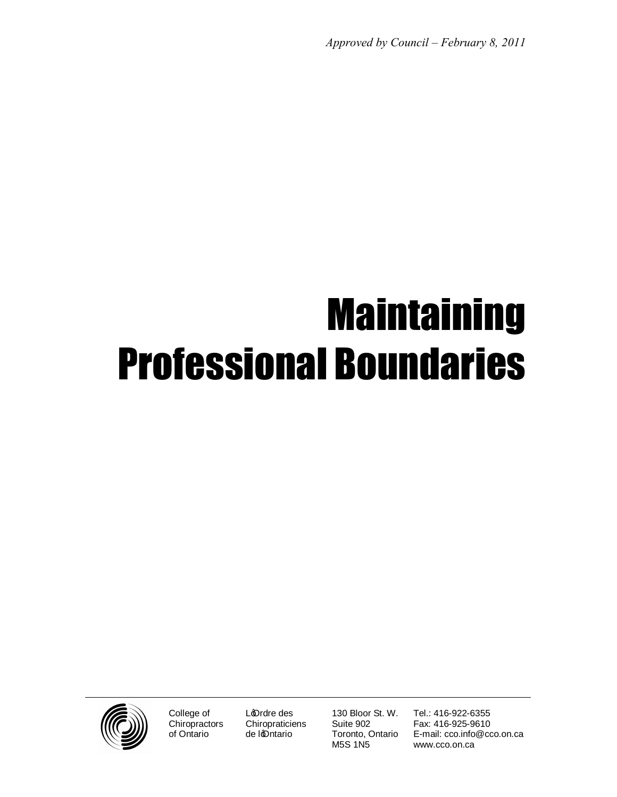*Approved by Council – February 8, 2011*

# **Maintaining** Professional Boundaries



College of **Chiropractors** of Ontario

Lo<sub>prdre des</sub> **Chiropraticiens** de lontario

130 Bloor St. W. Suite 902 Toronto, Ontario M5S 1N5

Tel.: 416-922-6355 Fax: 416-925-9610 E-mail: cco.info@cco.on.ca www.cco.on.ca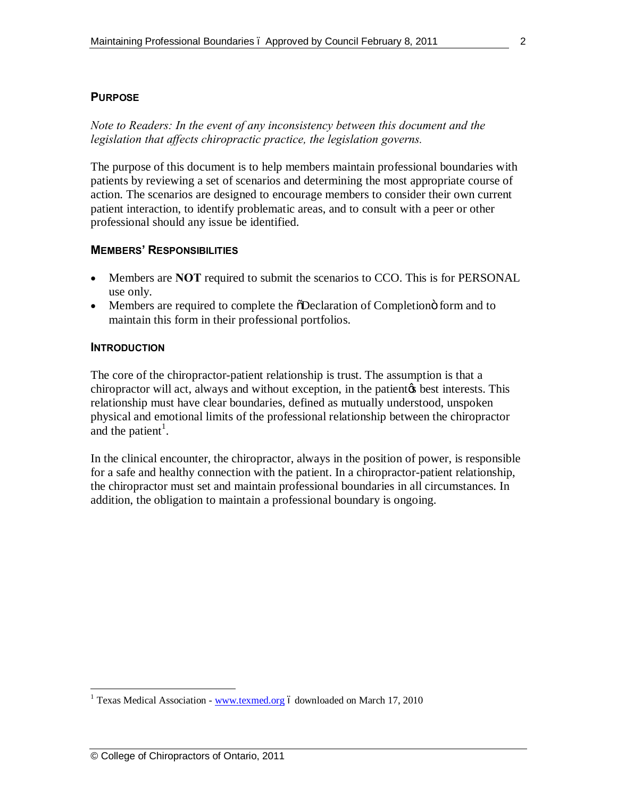### **PURPOSE**

*Note to Readers: In the event of any inconsistency between this document and the legislation that affects chiropractic practice, the legislation governs.*

The purpose of this document is to help members maintain professional boundaries with patients by reviewing a set of scenarios and determining the most appropriate course of action. The scenarios are designed to encourage members to consider their own current patient interaction, to identify problematic areas, and to consult with a peer or other professional should any issue be identified.

#### **MEMBERS' RESPONSIBILITIES**

- · Members are **NOT** required to submit the scenarios to CCO. This is for PERSONAL use only.
- Members are required to complete the  $\delta$ Declaration of Completion is form and to maintain this form in their professional portfolios.

#### **INTRODUCTION**

The core of the chiropractor-patient relationship is trust. The assumption is that a chiropractor will act, always and without exception, in the patient the best interests. This relationship must have clear boundaries, defined as mutually understood, unspoken physical and emotional limits of the professional relationship between the chiropractor and the patient<sup>1</sup>.

In the clinical encounter, the chiropractor, always in the position of power, is responsible for a safe and healthy connection with the patient. In a chiropractor-patient relationship, the chiropractor must set and maintain professional boundaries in all circumstances. In addition, the obligation to maintain a professional boundary is ongoing.

 $\frac{1}{1}$ <sup>1</sup> Texas Medical Association - www.texmed.org  $\acute{o}$  downloaded on March 17, 2010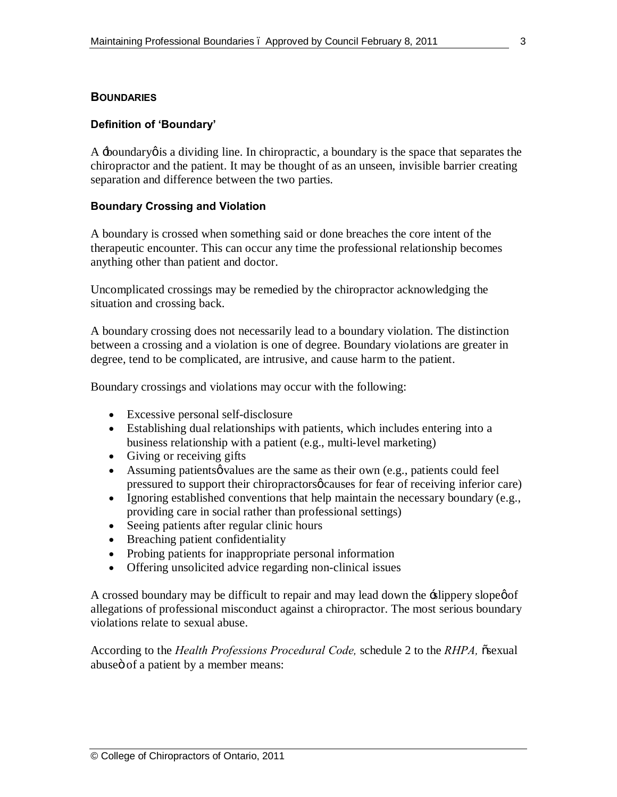#### **BOUNDARIES**

#### **Definition of 'Boundary'**

A boundary *is* a dividing line. In chiropractic, a boundary is the space that separates the chiropractor and the patient. It may be thought of as an unseen, invisible barrier creating separation and difference between the two parties.

#### **Boundary Crossing and Violation**

A boundary is crossed when something said or done breaches the core intent of the therapeutic encounter. This can occur any time the professional relationship becomes anything other than patient and doctor.

Uncomplicated crossings may be remedied by the chiropractor acknowledging the situation and crossing back.

A boundary crossing does not necessarily lead to a boundary violation. The distinction between a crossing and a violation is one of degree. Boundary violations are greater in degree, tend to be complicated, are intrusive, and cause harm to the patient.

Boundary crossings and violations may occur with the following:

- Excessive personal self-disclosure
- · Establishing dual relationships with patients, which includes entering into a business relationship with a patient (e.g., multi-level marketing)
- · Giving or receiving gifts
- Assuming patients  $\phi$  values are the same as their own (e.g., patients could feel pressured to support their chiropractors *ø* causes for fear of receiving inferior care)
- · Ignoring established conventions that help maintain the necessary boundary (e.g., providing care in social rather than professional settings)
- · Seeing patients after regular clinic hours
- Breaching patient confidentiality
- Probing patients for inappropriate personal information
- · Offering unsolicited advice regarding non-clinical issues

A crossed boundary may be difficult to repair and may lead down the -slippery slope  $\phi$  of allegations of professional misconduct against a chiropractor. The most serious boundary violations relate to sexual abuse.

According to the *Health Professions Procedural Code,* schedule 2 to the *RHPA,* "sexual abuseö of a patient by a member means: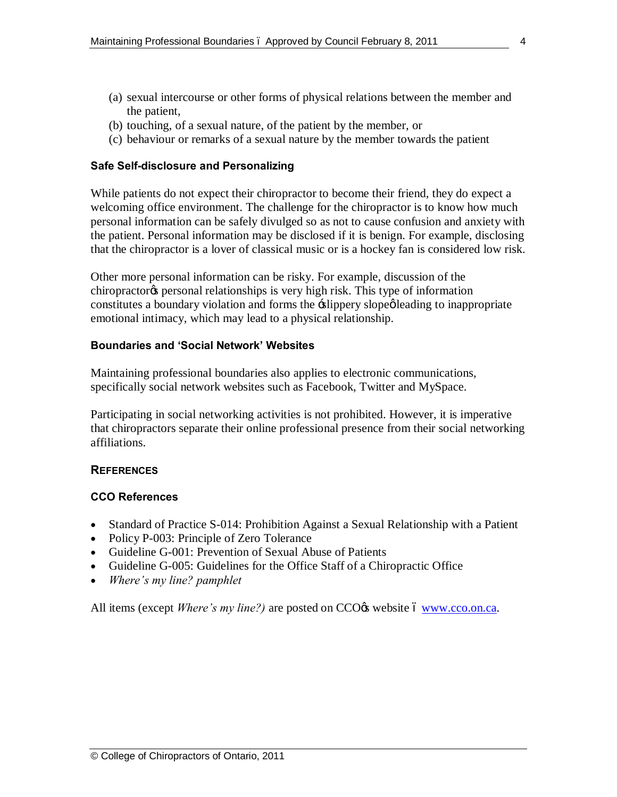- (a) sexual intercourse or other forms of physical relations between the member and the patient,
- (b) touching, of a sexual nature, of the patient by the member, or
- (c) behaviour or remarks of a sexual nature by the member towards the patient

#### **Safe Self-disclosure and Personalizing**

While patients do not expect their chiropractor to become their friend, they do expect a welcoming office environment. The challenge for the chiropractor is to know how much personal information can be safely divulged so as not to cause confusion and anxiety with the patient. Personal information may be disclosed if it is benign. For example, disclosing that the chiropractor is a lover of classical music or is a hockey fan is considered low risk.

Other more personal information can be risky. For example, discussion of the chiropractor<sub>®</sub> personal relationships is very high risk. This type of information constitutes a boundary violation and forms the -slippery slope o leading to inappropriate emotional intimacy, which may lead to a physical relationship.

#### **Boundaries and 'Social Network' Websites**

Maintaining professional boundaries also applies to electronic communications, specifically social network websites such as Facebook, Twitter and MySpace.

Participating in social networking activities is not prohibited. However, it is imperative that chiropractors separate their online professional presence from their social networking affiliations.

#### **REFERENCES**

#### **CCO References**

- · Standard of Practice S-014: Prohibition Against a Sexual Relationship with a Patient
- Policy P-003: Principle of Zero Tolerance
- Guideline G-001: Prevention of Sexual Abuse of Patients
- · Guideline G-005: Guidelines for the Office Staff of a Chiropractic Office
- · *Where's my line? pamphlet*

All items (except *Where's my line?)* are posted on CCO $\alpha$  website 6 [www.cco.on.ca.](http://www.cco.on.ca/)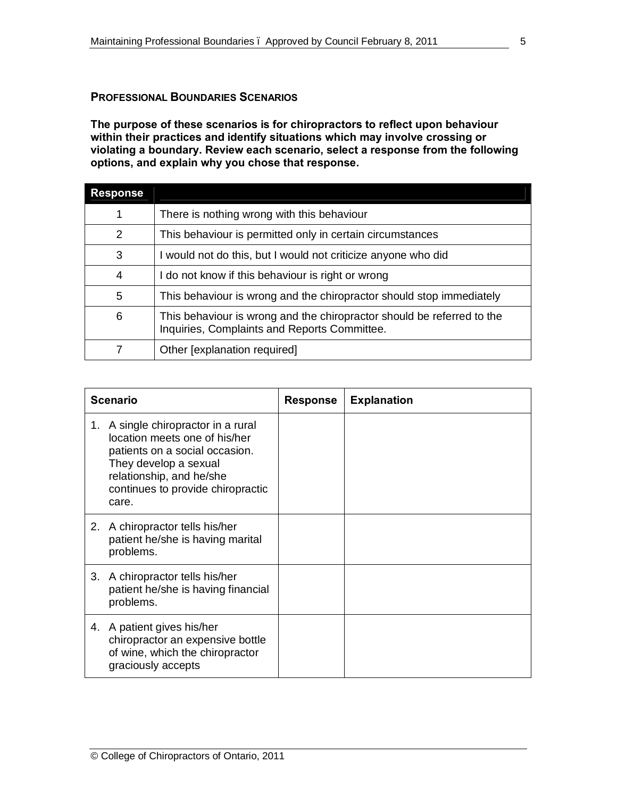#### **PROFESSIONAL BOUNDARIES SCENARIOS**

**The purpose of these scenarios is for chiropractors to reflect upon behaviour within their practices and identify situations which may involve crossing or violating a boundary. Review each scenario, select a response from the following options, and explain why you chose that response.**

| <b>Response</b> |                                                                                                                        |
|-----------------|------------------------------------------------------------------------------------------------------------------------|
|                 | There is nothing wrong with this behaviour                                                                             |
| 2               | This behaviour is permitted only in certain circumstances                                                              |
| 3               | I would not do this, but I would not criticize anyone who did                                                          |
| 4               | I do not know if this behaviour is right or wrong                                                                      |
| 5               | This behaviour is wrong and the chiropractor should stop immediately                                                   |
| 6               | This behaviour is wrong and the chiropractor should be referred to the<br>Inquiries, Complaints and Reports Committee. |
|                 | Other [explanation required]                                                                                           |

| <b>Scenario</b> |                                                                                                                                                                                                        | <b>Response</b> | <b>Explanation</b> |
|-----------------|--------------------------------------------------------------------------------------------------------------------------------------------------------------------------------------------------------|-----------------|--------------------|
| 1.              | A single chiropractor in a rural<br>location meets one of his/her<br>patients on a social occasion.<br>They develop a sexual<br>relationship, and he/she<br>continues to provide chiropractic<br>care. |                 |                    |
| 2.              | A chiropractor tells his/her<br>patient he/she is having marital<br>problems.                                                                                                                          |                 |                    |
| 3.              | A chiropractor tells his/her<br>patient he/she is having financial<br>problems.                                                                                                                        |                 |                    |
|                 | 4. A patient gives his/her<br>chiropractor an expensive bottle<br>of wine, which the chiropractor<br>graciously accepts                                                                                |                 |                    |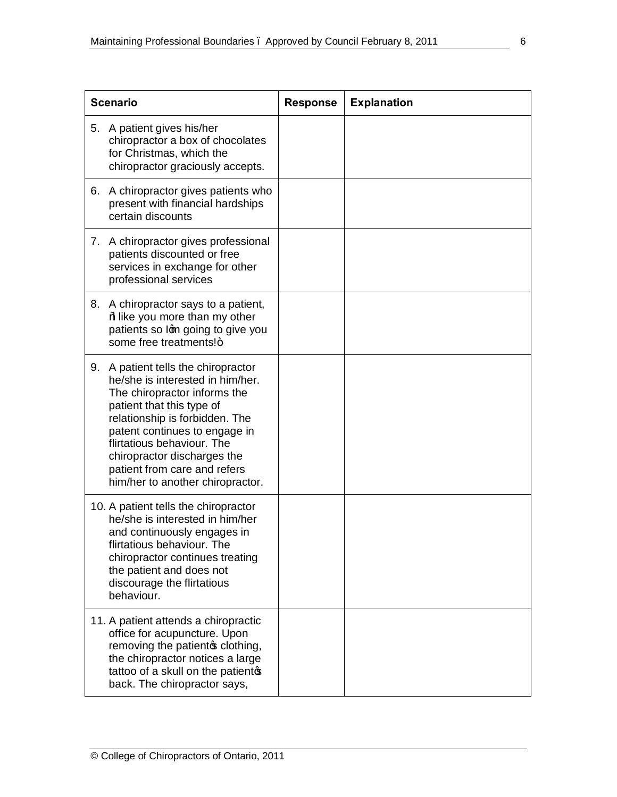| <b>Scenario</b> |                                                                                                                                                                                                                                                                                                                                       | <b>Response</b> | <b>Explanation</b> |
|-----------------|---------------------------------------------------------------------------------------------------------------------------------------------------------------------------------------------------------------------------------------------------------------------------------------------------------------------------------------|-----------------|--------------------|
|                 | 5. A patient gives his/her<br>chiropractor a box of chocolates<br>for Christmas, which the<br>chiropractor graciously accepts.                                                                                                                                                                                                        |                 |                    |
| 6.              | A chiropractor gives patients who<br>present with financial hardships<br>certain discounts                                                                                                                                                                                                                                            |                 |                    |
|                 | 7. A chiropractor gives professional<br>patients discounted or free<br>services in exchange for other<br>professional services                                                                                                                                                                                                        |                 |                    |
|                 | 8. A chiropractor says to a patient,<br>% dike you more than my other<br>patients so lon going to give you<br>some free treatments!+                                                                                                                                                                                                  |                 |                    |
| 9.              | A patient tells the chiropractor<br>he/she is interested in him/her.<br>The chiropractor informs the<br>patient that this type of<br>relationship is forbidden. The<br>patent continues to engage in<br>flirtatious behaviour. The<br>chiropractor discharges the<br>patient from care and refers<br>him/her to another chiropractor. |                 |                    |
|                 | 10. A patient tells the chiropractor<br>he/she is interested in him/her<br>and continuously engages in<br>flirtatious behaviour. The<br>chiropractor continues treating<br>the patient and does not<br>discourage the flirtatious<br>behaviour.                                                                                       |                 |                    |
|                 | 11. A patient attends a chiropractic<br>office for acupuncture. Upon<br>removing the patiento clothing,<br>the chiropractor notices a large<br>tattoo of a skull on the patientop<br>back. The chiropractor says,                                                                                                                     |                 |                    |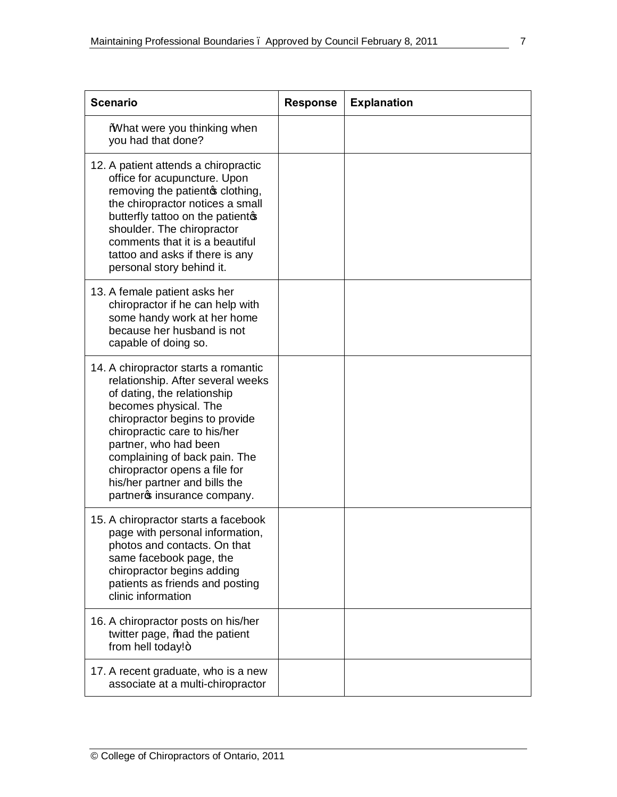| <b>Scenario</b>                                                                                                                                                                                                                                                                                                                                                | <b>Response</b> | <b>Explanation</b> |
|----------------------------------------------------------------------------------------------------------------------------------------------------------------------------------------------------------------------------------------------------------------------------------------------------------------------------------------------------------------|-----------------|--------------------|
| What were you thinking when<br>you had that done?                                                                                                                                                                                                                                                                                                              |                 |                    |
| 12. A patient attends a chiropractic<br>office for acupuncture. Upon<br>removing the patiento clothing,<br>the chiropractor notices a small<br>butterfly tattoo on the patientop<br>shoulder. The chiropractor<br>comments that it is a beautiful<br>tattoo and asks if there is any<br>personal story behind it.                                              |                 |                    |
| 13. A female patient asks her<br>chiropractor if he can help with<br>some handy work at her home<br>because her husband is not<br>capable of doing so.                                                                                                                                                                                                         |                 |                    |
| 14. A chiropractor starts a romantic<br>relationship. After several weeks<br>of dating, the relationship<br>becomes physical. The<br>chiropractor begins to provide<br>chiropractic care to his/her<br>partner, who had been<br>complaining of back pain. The<br>chiropractor opens a file for<br>his/her partner and bills the<br>partners insurance company. |                 |                    |
| 15. A chiropractor starts a facebook<br>page with personal information,<br>photos and contacts. On that<br>same facebook page, the<br>chiropractor begins adding<br>patients as friends and posting<br>clinic information                                                                                                                                      |                 |                    |
| 16. A chiropractor posts on his/her<br>twitter page, %ad the patient<br>from hell today!+                                                                                                                                                                                                                                                                      |                 |                    |
| 17. A recent graduate, who is a new<br>associate at a multi-chiropractor                                                                                                                                                                                                                                                                                       |                 |                    |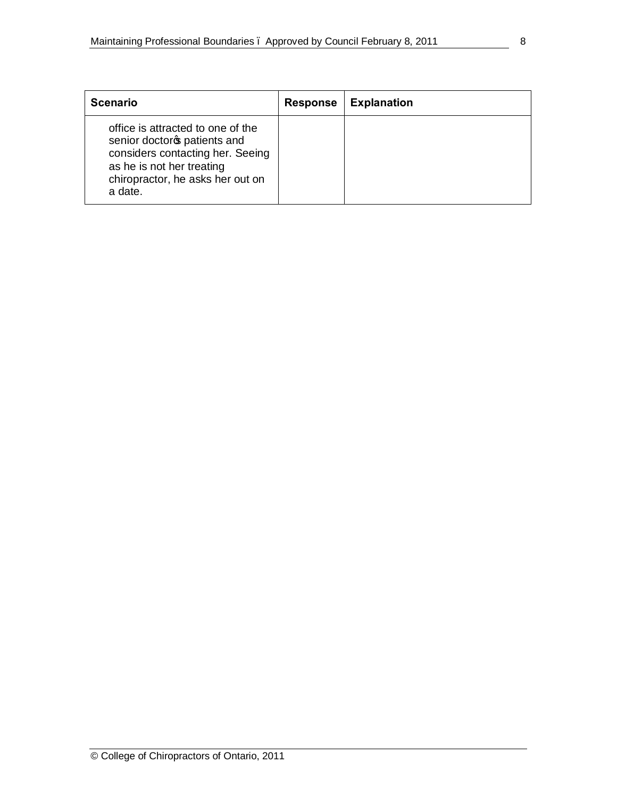| <b>Scenario</b>                                                                                                                                                                   | <b>Response</b> | <b>Explanation</b> |
|-----------------------------------------------------------------------------------------------------------------------------------------------------------------------------------|-----------------|--------------------|
| office is attracted to one of the<br>senior doctoros patients and<br>considers contacting her. Seeing<br>as he is not her treating<br>chiropractor, he asks her out on<br>a date. |                 |                    |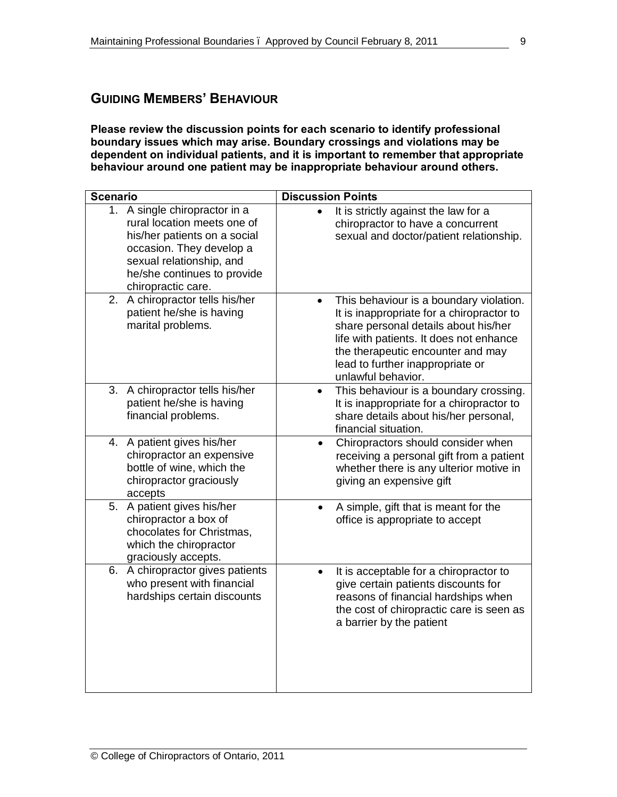# **GUIDING MEMBERS' BEHAVIOUR**

**Please review the discussion points for each scenario to identify professional boundary issues which may arise. Boundary crossings and violations may be dependent on individual patients, and it is important to remember that appropriate behaviour around one patient may be inappropriate behaviour around others.**

| <b>Scenario</b>                                                                                                                                                                                              | <b>Discussion Points</b>                                                                                                                                                                                                                                                            |
|--------------------------------------------------------------------------------------------------------------------------------------------------------------------------------------------------------------|-------------------------------------------------------------------------------------------------------------------------------------------------------------------------------------------------------------------------------------------------------------------------------------|
| A single chiropractor in a<br>1.<br>rural location meets one of<br>his/her patients on a social<br>occasion. They develop a<br>sexual relationship, and<br>he/she continues to provide<br>chiropractic care. | It is strictly against the law for a<br>chiropractor to have a concurrent<br>sexual and doctor/patient relationship.                                                                                                                                                                |
| 2. A chiropractor tells his/her<br>patient he/she is having<br>marital problems.                                                                                                                             | This behaviour is a boundary violation.<br>$\bullet$<br>It is inappropriate for a chiropractor to<br>share personal details about his/her<br>life with patients. It does not enhance<br>the therapeutic encounter and may<br>lead to further inappropriate or<br>unlawful behavior. |
| 3. A chiropractor tells his/her<br>patient he/she is having<br>financial problems.                                                                                                                           | This behaviour is a boundary crossing.<br>$\bullet$<br>It is inappropriate for a chiropractor to<br>share details about his/her personal,<br>financial situation.                                                                                                                   |
| A patient gives his/her<br>4.<br>chiropractor an expensive<br>bottle of wine, which the<br>chiropractor graciously<br>accepts                                                                                | Chiropractors should consider when<br>$\bullet$<br>receiving a personal gift from a patient<br>whether there is any ulterior motive in<br>giving an expensive gift                                                                                                                  |
| A patient gives his/her<br>5.<br>chiropractor a box of<br>chocolates for Christmas,<br>which the chiropractor<br>graciously accepts.                                                                         | A simple, gift that is meant for the<br>$\bullet$<br>office is appropriate to accept                                                                                                                                                                                                |
| A chiropractor gives patients<br>6.<br>who present with financial<br>hardships certain discounts                                                                                                             | It is acceptable for a chiropractor to<br>$\bullet$<br>give certain patients discounts for<br>reasons of financial hardships when<br>the cost of chiropractic care is seen as<br>a barrier by the patient                                                                           |

9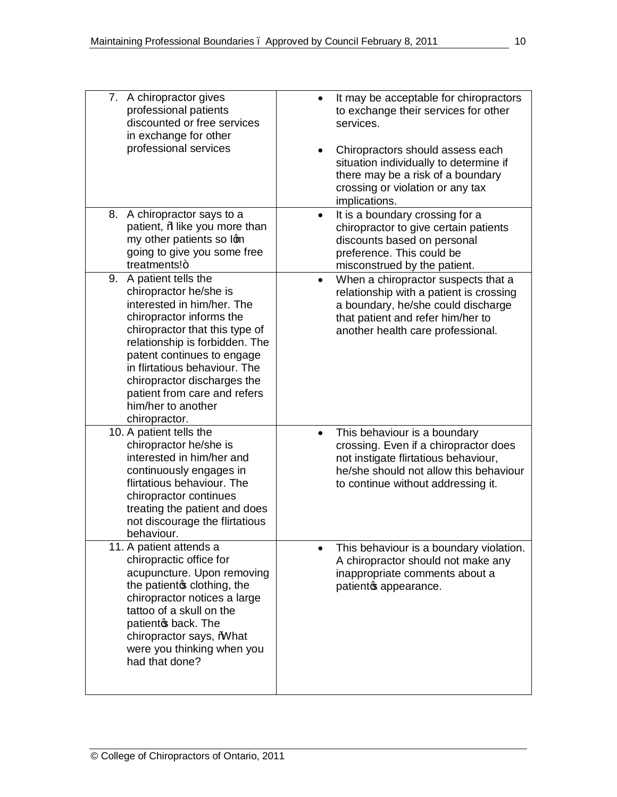| 7. A chiropractor gives<br>professional patients<br>discounted or free services<br>in exchange for other<br>professional services                                                                                                                                                                                                                      | It may be acceptable for chiropractors<br>$\bullet$<br>to exchange their services for other<br>services.<br>Chiropractors should assess each<br>situation individually to determine if<br>there may be a risk of a boundary<br>crossing or violation or any tax<br>implications. |
|--------------------------------------------------------------------------------------------------------------------------------------------------------------------------------------------------------------------------------------------------------------------------------------------------------------------------------------------------------|----------------------------------------------------------------------------------------------------------------------------------------------------------------------------------------------------------------------------------------------------------------------------------|
| A chiropractor says to a<br>8.<br>patient, % like you more than<br>my other patients so lom<br>going to give you some free<br>$treatments! +$                                                                                                                                                                                                          | It is a boundary crossing for a<br>$\bullet$<br>chiropractor to give certain patients<br>discounts based on personal<br>preference. This could be<br>misconstrued by the patient.                                                                                                |
| A patient tells the<br>9.<br>chiropractor he/she is<br>interested in him/her. The<br>chiropractor informs the<br>chiropractor that this type of<br>relationship is forbidden. The<br>patent continues to engage<br>in flirtatious behaviour. The<br>chiropractor discharges the<br>patient from care and refers<br>him/her to another<br>chiropractor. | When a chiropractor suspects that a<br>$\bullet$<br>relationship with a patient is crossing<br>a boundary, he/she could discharge<br>that patient and refer him/her to<br>another health care professional.                                                                      |
| 10. A patient tells the<br>chiropractor he/she is<br>interested in him/her and<br>continuously engages in<br>flirtatious behaviour. The<br>chiropractor continues<br>treating the patient and does<br>not discourage the flirtatious<br>behaviour.                                                                                                     | This behaviour is a boundary<br>٠<br>crossing. Even if a chiropractor does<br>not instigate flirtatious behaviour,<br>he/she should not allow this behaviour<br>to continue without addressing it.                                                                               |
| 11. A patient attends a<br>chiropractic office for<br>acupuncture. Upon removing<br>the patientos clothing, the<br>chiropractor notices a large<br>tattoo of a skull on the<br>patiento back. The<br>chiropractor says, What<br>were you thinking when you<br>had that done?                                                                           | This behaviour is a boundary violation.<br>$\bullet$<br>A chiropractor should not make any<br>inappropriate comments about a<br>patientos appearance.                                                                                                                            |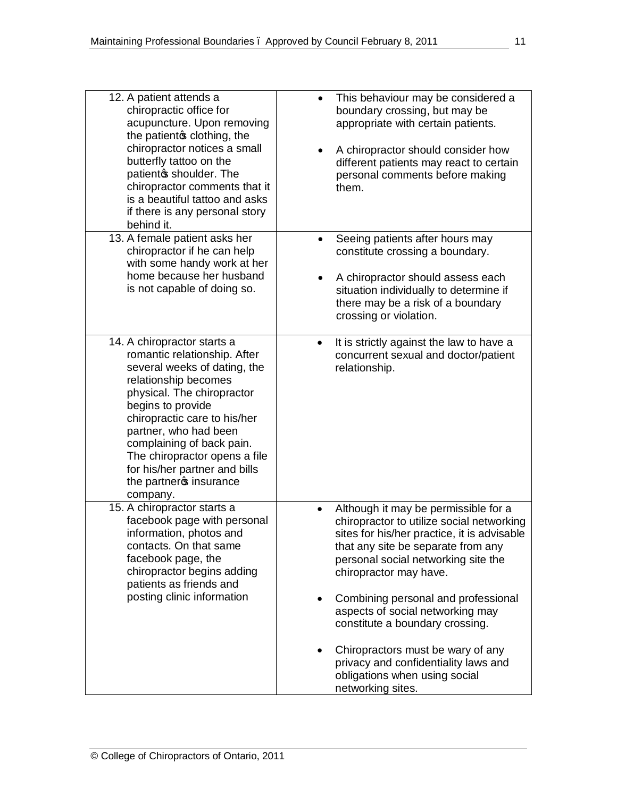| 12. A patient attends a<br>chiropractic office for<br>acupuncture. Upon removing<br>the patiento clothing, the<br>chiropractor notices a small<br>butterfly tattoo on the<br>patientos shoulder. The<br>chiropractor comments that it<br>is a beautiful tattoo and asks<br>if there is any personal story<br>behind it.                                              | This behaviour may be considered a<br>$\bullet$<br>boundary crossing, but may be<br>appropriate with certain patients.<br>A chiropractor should consider how<br>٠<br>different patients may react to certain<br>personal comments before making<br>them.                                                                                                                                                                                                                                              |
|----------------------------------------------------------------------------------------------------------------------------------------------------------------------------------------------------------------------------------------------------------------------------------------------------------------------------------------------------------------------|-------------------------------------------------------------------------------------------------------------------------------------------------------------------------------------------------------------------------------------------------------------------------------------------------------------------------------------------------------------------------------------------------------------------------------------------------------------------------------------------------------|
| 13. A female patient asks her<br>chiropractor if he can help<br>with some handy work at her<br>home because her husband<br>is not capable of doing so.                                                                                                                                                                                                               | Seeing patients after hours may<br>$\bullet$<br>constitute crossing a boundary.<br>A chiropractor should assess each<br>$\bullet$<br>situation individually to determine if<br>there may be a risk of a boundary<br>crossing or violation.                                                                                                                                                                                                                                                            |
| 14. A chiropractor starts a<br>romantic relationship. After<br>several weeks of dating, the<br>relationship becomes<br>physical. The chiropractor<br>begins to provide<br>chiropractic care to his/her<br>partner, who had been<br>complaining of back pain.<br>The chiropractor opens a file<br>for his/her partner and bills<br>the partners insurance<br>company. | It is strictly against the law to have a<br>$\bullet$<br>concurrent sexual and doctor/patient<br>relationship.                                                                                                                                                                                                                                                                                                                                                                                        |
| 15. A chiropractor starts a<br>facebook page with personal<br>information, photos and<br>contacts. On that same<br>facebook page, the<br>chiropractor begins adding<br>patients as friends and<br>posting clinic information                                                                                                                                         | Although it may be permissible for a<br>$\bullet$<br>chiropractor to utilize social networking<br>sites for his/her practice, it is advisable<br>that any site be separate from any<br>personal social networking site the<br>chiropractor may have.<br>Combining personal and professional<br>aspects of social networking may<br>constitute a boundary crossing.<br>Chiropractors must be wary of any<br>privacy and confidentiality laws and<br>obligations when using social<br>networking sites. |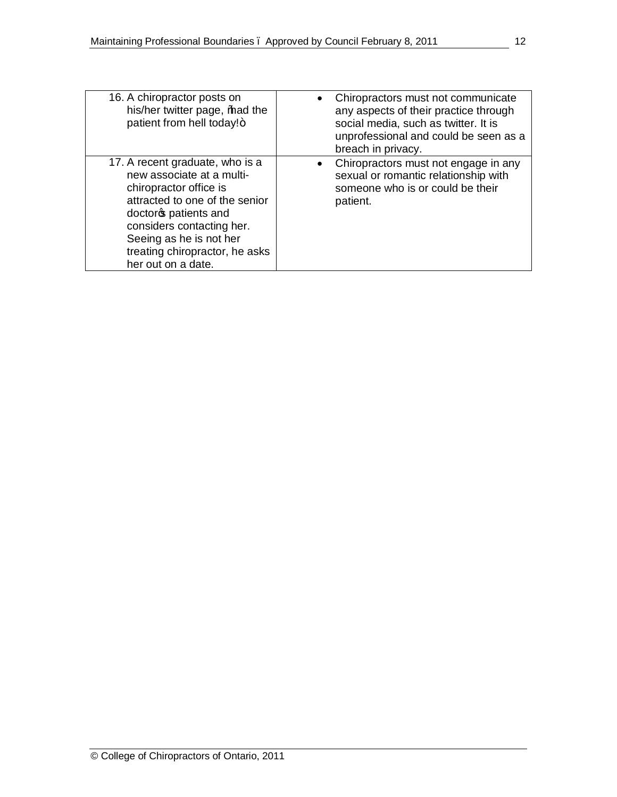| 16. A chiropractor posts on<br>his/her twitter page, <i>had</i> the<br>patient from hell today!+                                                                                                                                                                 | • Chiropractors must not communicate<br>any aspects of their practice through<br>social media, such as twitter. It is<br>unprofessional and could be seen as a<br>breach in privacy. |
|------------------------------------------------------------------------------------------------------------------------------------------------------------------------------------------------------------------------------------------------------------------|--------------------------------------------------------------------------------------------------------------------------------------------------------------------------------------|
| 17. A recent graduate, who is a<br>new associate at a multi-<br>chiropractor office is<br>attracted to one of the senior<br>doctors patients and<br>considers contacting her.<br>Seeing as he is not her<br>treating chiropractor, he asks<br>her out on a date. | • Chiropractors must not engage in any<br>sexual or romantic relationship with<br>someone who is or could be their<br>patient.                                                       |